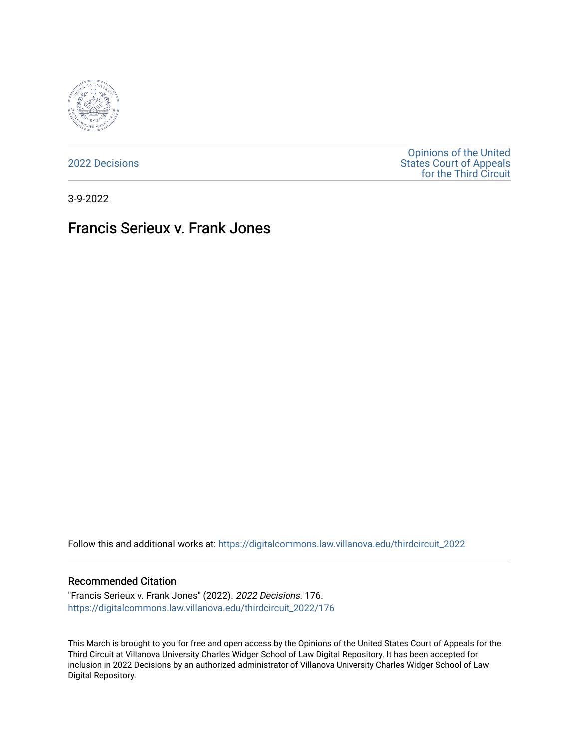

[2022 Decisions](https://digitalcommons.law.villanova.edu/thirdcircuit_2022)

[Opinions of the United](https://digitalcommons.law.villanova.edu/thirdcircuit)  [States Court of Appeals](https://digitalcommons.law.villanova.edu/thirdcircuit)  [for the Third Circuit](https://digitalcommons.law.villanova.edu/thirdcircuit) 

3-9-2022

# Francis Serieux v. Frank Jones

Follow this and additional works at: [https://digitalcommons.law.villanova.edu/thirdcircuit\\_2022](https://digitalcommons.law.villanova.edu/thirdcircuit_2022?utm_source=digitalcommons.law.villanova.edu%2Fthirdcircuit_2022%2F176&utm_medium=PDF&utm_campaign=PDFCoverPages) 

#### Recommended Citation

"Francis Serieux v. Frank Jones" (2022). 2022 Decisions. 176. [https://digitalcommons.law.villanova.edu/thirdcircuit\\_2022/176](https://digitalcommons.law.villanova.edu/thirdcircuit_2022/176?utm_source=digitalcommons.law.villanova.edu%2Fthirdcircuit_2022%2F176&utm_medium=PDF&utm_campaign=PDFCoverPages)

This March is brought to you for free and open access by the Opinions of the United States Court of Appeals for the Third Circuit at Villanova University Charles Widger School of Law Digital Repository. It has been accepted for inclusion in 2022 Decisions by an authorized administrator of Villanova University Charles Widger School of Law Digital Repository.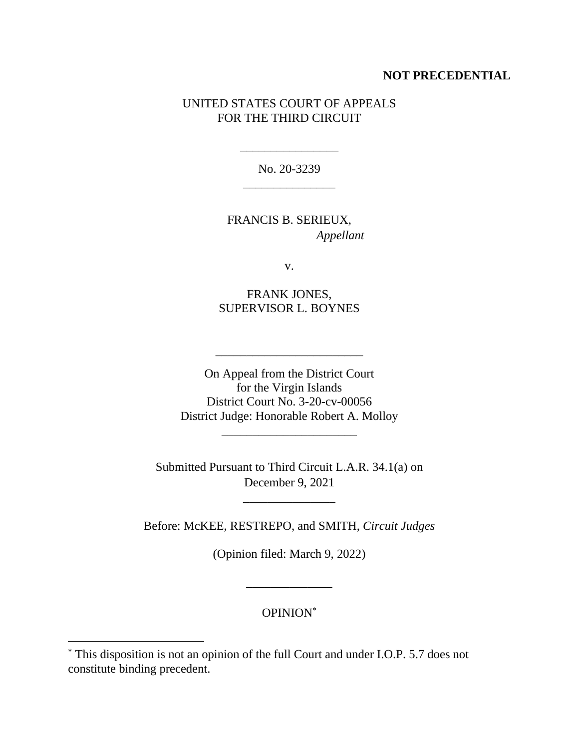# **NOT PRECEDENTIAL**

# UNITED STATES COURT OF APPEALS FOR THE THIRD CIRCUIT

No. 20-3239 \_\_\_\_\_\_\_\_\_\_\_\_\_\_\_

\_\_\_\_\_\_\_\_\_\_\_\_\_\_\_\_

FRANCIS B. SERIEUX, *Appellant*

v.

FRANK JONES, SUPERVISOR L. BOYNES

On Appeal from the District Court for the Virgin Islands District Court No. 3-20-cv-00056 District Judge: Honorable Robert A. Molloy

\_\_\_\_\_\_\_\_\_\_\_\_\_\_\_\_\_\_\_\_\_\_

\_\_\_\_\_\_\_\_\_\_\_\_\_\_\_\_\_\_\_\_\_\_\_\_

Submitted Pursuant to Third Circuit L.A.R. 34.1(a) on December 9, 2021

\_\_\_\_\_\_\_\_\_\_\_\_\_\_\_

Before: McKEE, RESTREPO, and SMITH, *Circuit Judges*

(Opinion filed: March 9, 2022)

OPINION\*

\_\_\_\_\_\_\_\_\_\_\_\_\_\_

<sup>\*</sup> This disposition is not an opinion of the full Court and under I.O.P. 5.7 does not constitute binding precedent.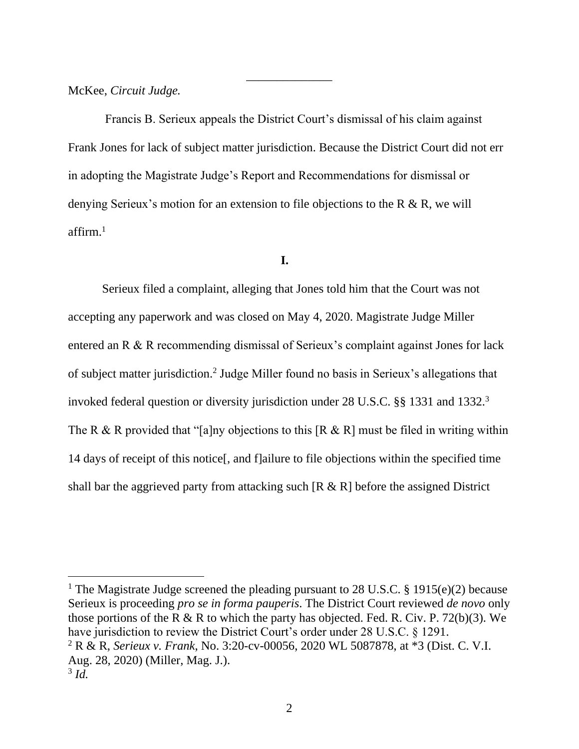McKee, *Circuit Judge.*

Francis B. Serieux appeals the District Court's dismissal of his claim against Frank Jones for lack of subject matter jurisdiction. Because the District Court did not err in adopting the Magistrate Judge's Report and Recommendations for dismissal or denying Serieux's motion for an extension to file objections to the R & R, we will affirm. $<sup>1</sup>$ </sup>

\_\_\_\_\_\_\_\_\_\_\_\_\_\_

## **I.**

Serieux filed a complaint, alleging that Jones told him that the Court was not accepting any paperwork and was closed on May 4, 2020. Magistrate Judge Miller entered an R & R recommending dismissal of Serieux's complaint against Jones for lack of subject matter jurisdiction.<sup>2</sup> Judge Miller found no basis in Serieux's allegations that invoked federal question or diversity jurisdiction under 28 U.S.C. §§ 1331 and 1332.<sup>3</sup> The R & R provided that "[a]ny objections to this  $[R \& R]$  must be filed in writing within 14 days of receipt of this notice[, and f]ailure to file objections within the specified time shall bar the aggrieved party from attacking such  $[R \& R]$  before the assigned District

<sup>1</sup> The Magistrate Judge screened the pleading pursuant to 28 U.S.C. § 1915(e)(2) because Serieux is proceeding *pro se in forma pauperis*. The District Court reviewed *de novo* only those portions of the R & R to which the party has objected. Fed. R. Civ. P. 72(b)(3). We have jurisdiction to review the District Court's order under 28 U.S.C. § 1291. <sup>2</sup> R & R, *Serieux v. Frank*, No. 3:20-cv-00056, 2020 WL 5087878, at \*3 (Dist. C. V.I. Aug. 28, 2020) (Miller, Mag. J.). 3 *Id.*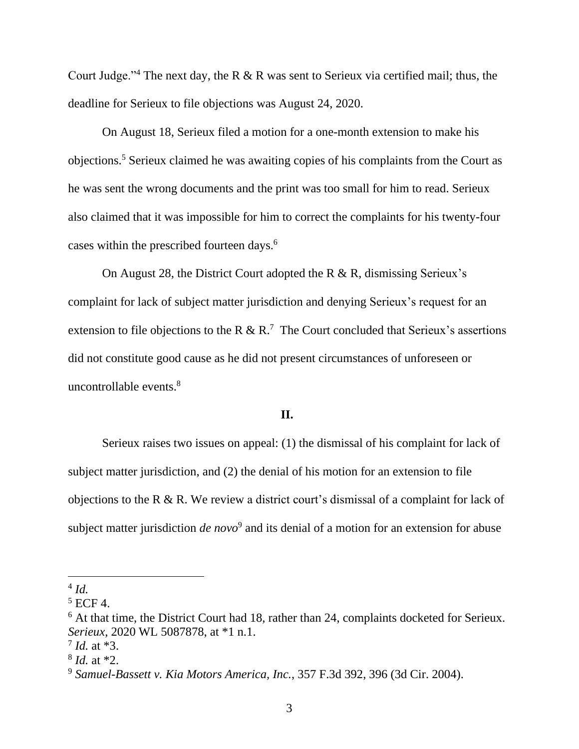Court Judge."<sup>4</sup> The next day, the R & R was sent to Serieux via certified mail; thus, the deadline for Serieux to file objections was August 24, 2020.

On August 18, Serieux filed a motion for a one-month extension to make his objections.<sup>5</sup> Serieux claimed he was awaiting copies of his complaints from the Court as he was sent the wrong documents and the print was too small for him to read. Serieux also claimed that it was impossible for him to correct the complaints for his twenty-four cases within the prescribed fourteen days.<sup>6</sup>

On August 28, the District Court adopted the R  $\&$  R, dismissing Serieux's complaint for lack of subject matter jurisdiction and denying Serieux's request for an extension to file objections to the R & R.<sup>7</sup> The Court concluded that Serieux's assertions did not constitute good cause as he did not present circumstances of unforeseen or uncontrollable events.<sup>8</sup>

## **II.**

Serieux raises two issues on appeal: (1) the dismissal of his complaint for lack of subject matter jurisdiction, and (2) the denial of his motion for an extension to file objections to the R & R. We review a district court's dismissal of a complaint for lack of subject matter jurisdiction *de novo*<sup>9</sup> and its denial of a motion for an extension for abuse

<sup>4</sup> *Id.* 

 $5$  ECF 4.

<sup>&</sup>lt;sup>6</sup> At that time, the District Court had 18, rather than 24, complaints docketed for Serieux. *Serieux*, 2020 WL 5087878, at \*1 n.1.

<sup>7</sup> *Id.* at \*3.

<sup>8</sup> *Id.* at \*2.

<sup>9</sup> *Samuel-Bassett v. Kia Motors America, Inc.*, 357 F.3d 392, 396 (3d Cir. 2004).